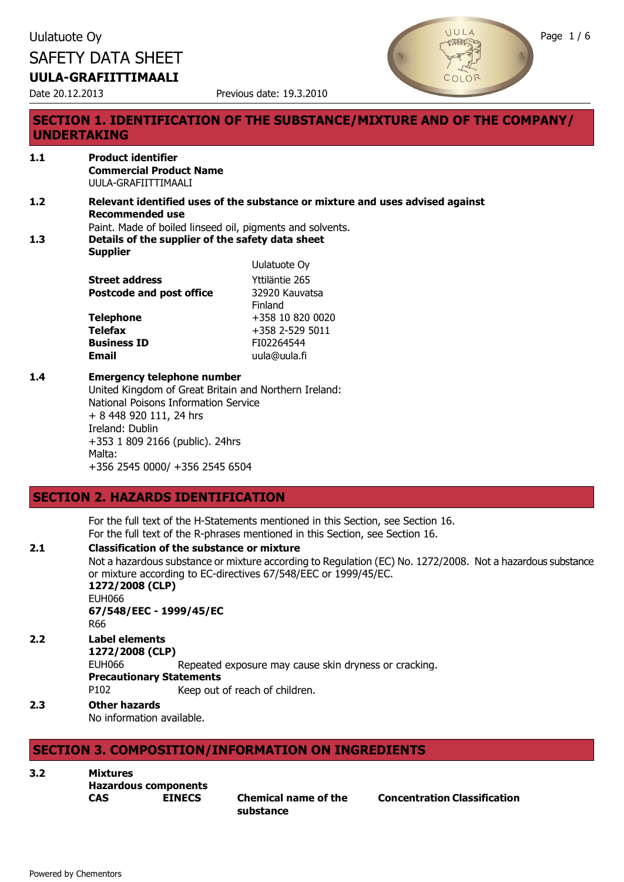Date 20.12.2013 Previous date: 19.3.2010



### **SECTION 1. IDENTIFICATION OF THE SUBSTANCE/MIXTURE AND OF THE COMPANY/ UNDERTAKING**

#### **1.1 Product identifier Commercial Product Name** UULA-GRAFIITTIMAALI

**1.2 Relevant identified uses of the substance or mixture and uses advised against Recommended use** Paint. Made of boiled linseed oil, pigments and solvents.

 $U$ ulatuote  $\Omega$ 

**1.3 Details of the supplier of the safety data sheet Supplier**

|                                 | <b>UUIDIUDIE UY</b> |
|---------------------------------|---------------------|
| <b>Street address</b>           | Yttiläntie 265      |
| <b>Postcode and post office</b> | 32920 Kauvatsa      |
|                                 | Finland             |
| <b>Telephone</b>                | +358 10 820 0020    |
| <b>Telefax</b>                  | $+358$ 2-529 5011   |
| <b>Business ID</b>              | FI02264544          |
| <b>Email</b>                    | uula@uula.fi        |

#### **1.4 Emergency telephone number**

United Kingdom of Great Britain and Northern Ireland: National Poisons Information Service + 8 448 920 111, 24 hrs Ireland: Dublin +353 1 809 2166 (public). 24hrs Malta: +356 2545 0000/ +356 2545 6504

### **SECTION 2. HAZARDS IDENTIFICATION**

For the full text of the H-Statements mentioned in this Section, see Section 16. For the full text of the R-phrases mentioned in this Section, see Section 16.

### **2.1 Classification of the substance or mixture**

Not a hazardous substance or mixture according to Regulation (EC) No. 1272/2008. Not a hazardous substance or mixture according to EC-directives 67/548/EEC or 1999/45/EC.

**1272/2008 (CLP)** EUH066 **67/548/EEC - 1999/45/EC** R66

### **2.2 Label elements**

**1272/2008 (CLP)**

EUH066 Repeated exposure may cause skin dryness or cracking.

**Precautionary Statements**

P102 Keep out of reach of children.

### **2.3 Other hazards**

No information available.

### **SECTION 3. COMPOSITION/INFORMATION ON INGREDIENTS**

**3.2 Mixtures**

**Hazardous components**

**CAS EINECS Chemical name of the substance**

**Concentration Classification**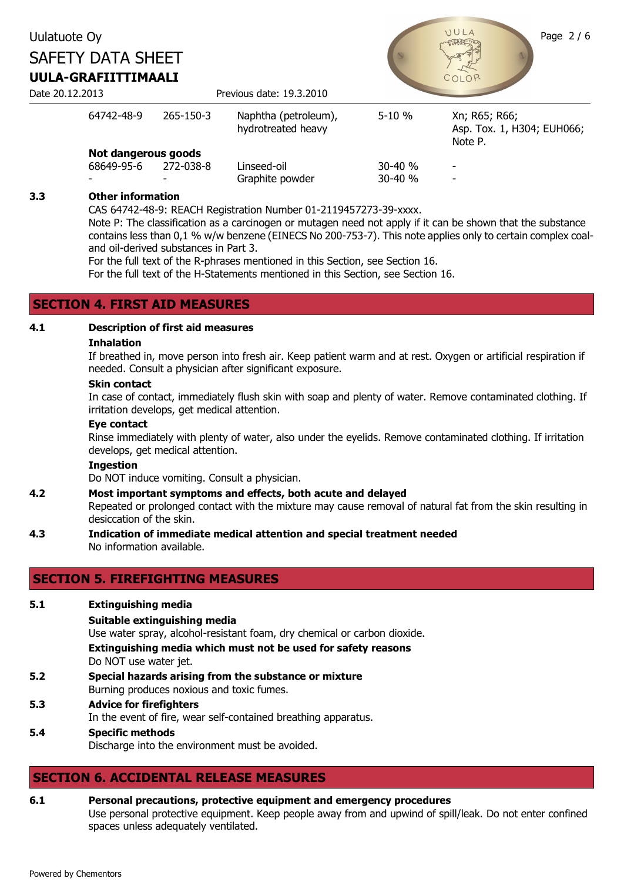### Uulatuote Oy Page 2/6 SAFETY DATA SHEET **UULA-GRAFIITTIMAALI** Date 20.12.2013 Previous date: 19.3.2010 64742-48-9 265-150-3 Naphtha (petroleum), hydrotreated heavy 5-10 % Xn; R65; R66; Asp. Tox. 1, H304; EUH066; Note P. **Not dangerous goods**<br>68649-95-6 272-038-8 68649-95-6 272-038-8 Linseed-oil 30-40 % -

#### **3.3 Other information**

CAS 64742-48-9: REACH Registration Number 01-2119457273-39-xxxx.

Note P: The classification as a carcinogen or mutagen need not apply if it can be shown that the substance contains less than 0,1 % w/w benzene (EINECS No 200-753-7). This note applies only to certain complex coaland oil-derived substances in Part 3.

Graphite powder 30-40 %

For the full text of the R-phrases mentioned in this Section, see Section 16.

For the full text of the H-Statements mentioned in this Section, see Section 16.

#### **SECTION 4. FIRST AID MEASURES**

### **4.1 Description of first aid measures**

#### **Inhalation**

If breathed in, move person into fresh air. Keep patient warm and at rest. Oxygen or artificial respiration if needed. Consult a physician after significant exposure.

#### **Skin contact**

In case of contact, immediately flush skin with soap and plenty of water. Remove contaminated clothing. If irritation develops, get medical attention.

#### **Eye contact**

Rinse immediately with plenty of water, also under the eyelids. Remove contaminated clothing. If irritation develops, get medical attention.

#### **Ingestion**

Do NOT induce vomiting. Consult a physician.

#### **4.2 Most important symptoms and effects, both acute and delayed**

Repeated or prolonged contact with the mixture may cause removal of natural fat from the skin resulting in desiccation of the skin.

**4.3 Indication of immediate medical attention and special treatment needed** No information available.

### **SECTION 5. FIREFIGHTING MEASURES**

- **5.1 Extinguishing media**
	- **Suitable extinguishing media**

Use water spray, alcohol-resistant foam, dry chemical or carbon dioxide.

**Extinguishing media which must not be used for safety reasons** Do NOT use water jet.

- **5.2 Special hazards arising from the substance or mixture** Burning produces noxious and toxic fumes.
- **5.3 Advice for firefighters** In the event of fire, wear self-contained breathing apparatus.

#### **5.4 Specific methods** Discharge into the environment must be avoided.

## **SECTION 6. ACCIDENTAL RELEASE MEASURES**

**6.1 Personal precautions, protective equipment and emergency procedures** Use personal protective equipment. Keep people away from and upwind of spill/leak. Do not enter confined spaces unless adequately ventilated.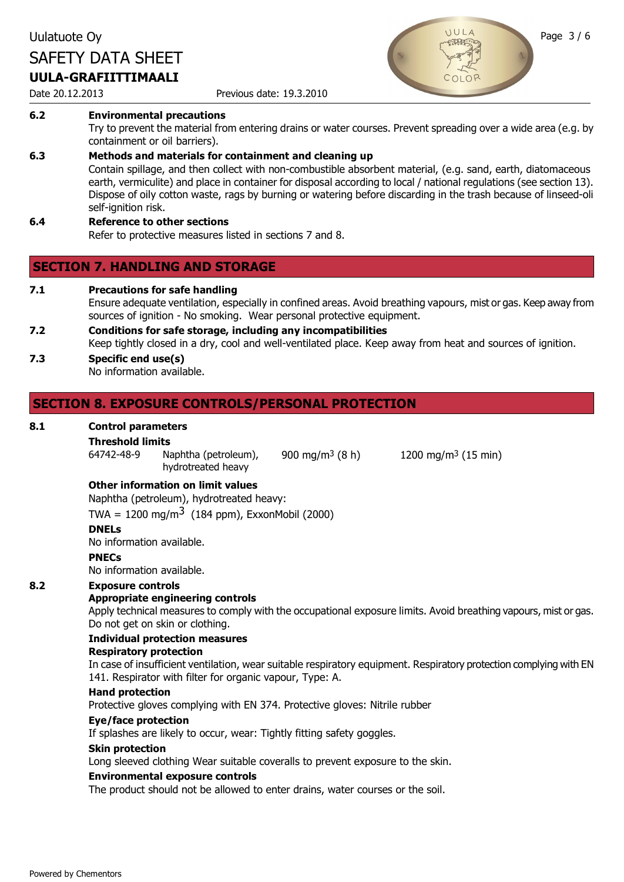#### Date 20.12.2013 Previous date: 19.3.2010

#### **6.2 Environmental precautions**

Try to prevent the material from entering drains or water courses. Prevent spreading over a wide area (e.g. by containment or oil barriers).

#### **6.3 Methods and materials for containment and cleaning up**

Contain spillage, and then collect with non-combustible absorbent material, (e.g. sand, earth, diatomaceous earth, vermiculite) and place in container for disposal according to local / national regulations (see section 13). Dispose of oily cotton waste, rags by burning or watering before discarding in the trash because of linseed-oli self-ignition risk.

### **6.4 Reference to other sections**

Refer to protective measures listed in sections 7 and 8.

### **SECTION 7. HANDLING AND STORAGE**

**7.1 Precautions for safe handling**

Ensure adequate ventilation, especially in confined areas. Avoid breathing vapours, mist or gas. Keep away from sources of ignition - No smoking. Wear personal protective equipment.

**7.2 Conditions for safe storage, including any incompatibilities** Keep tightly closed in a dry, cool and well-ventilated place. Keep away from heat and sources of ignition.

#### **7.3 Specific end use(s)** No information available.

### **SECTION 8. EXPOSURE CONTROLS/PERSONAL PROTECTION**

#### **8.1 Control parameters**

# **Threshold limits**

Naphtha (petroleum), hydrotreated heavy

900 mg/m3 (8 h) 1200 mg/m3 (15 min)

#### **Other information on limit values**

Naphtha (petroleum), hydrotreated heavy:

TWA =  $1200 \text{ mg/m}^3$  (184 ppm), ExxonMobil (2000)

#### **DNELs**

No information available.

#### **PNECs**

No information available.

#### **8.2 Exposure controls**

#### **Appropriate engineering controls**

Apply technical measures to comply with the occupational exposure limits. Avoid breathing vapours, mist or gas. Do not get on skin or clothing.

#### **Individual protection measures**

#### **Respiratory protection**

In case of insufficient ventilation, wear suitable respiratory equipment. Respiratory protection complying with EN 141. Respirator with filter for organic vapour, Type: A.

#### **Hand protection**

Protective gloves complying with EN 374. Protective gloves: Nitrile rubber

#### **Eye/face protection**

If splashes are likely to occur, wear: Tightly fitting safety goggles.

#### **Skin protection**

Long sleeved clothing Wear suitable coveralls to prevent exposure to the skin.

#### **Environmental exposure controls**

The product should not be allowed to enter drains, water courses or the soil.

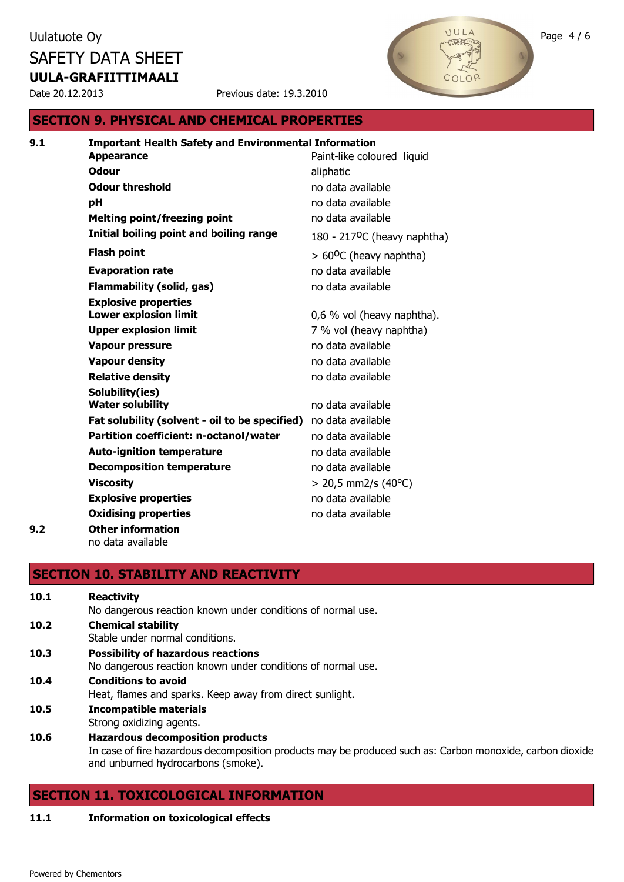Date 20.12.2013 Previous date: 19.3.2010

### **SECTION 9. PHYSICAL AND CHEMICAL PROPERTIES**

| 9.1 | <b>Important Health Safety and Environmental Information</b> |                                  |
|-----|--------------------------------------------------------------|----------------------------------|
|     | <b>Appearance</b>                                            | Paint-like coloured liquid       |
|     | <b>Odour</b>                                                 | aliphatic                        |
|     | <b>Odour threshold</b>                                       | no data available                |
|     | рH                                                           | no data available                |
|     | <b>Melting point/freezing point</b>                          | no data available                |
|     | Initial boiling point and boiling range                      | 180 - 217ºC (heavy naphtha)      |
|     | <b>Flash point</b>                                           | $> 60^{\circ}$ C (heavy naphtha) |
|     | <b>Evaporation rate</b>                                      | no data available                |
|     | <b>Flammability (solid, gas)</b>                             | no data available                |
|     | <b>Explosive properties</b>                                  |                                  |
|     | <b>Lower explosion limit</b>                                 | 0,6 % vol (heavy naphtha).       |
|     | <b>Upper explosion limit</b>                                 | 7 % vol (heavy naphtha)          |
|     | Vapour pressure                                              | no data available                |
|     | <b>Vapour density</b>                                        | no data available                |
|     | <b>Relative density</b>                                      | no data available                |
|     | Solubility(ies)                                              |                                  |
|     | <b>Water solubility</b>                                      | no data available                |
|     | Fat solubility (solvent - oil to be specified)               | no data available                |
|     | Partition coefficient: n-octanol/water                       | no data available                |
|     | <b>Auto-ignition temperature</b>                             | no data available                |
|     | <b>Decomposition temperature</b>                             | no data available                |
|     | <b>Viscosity</b>                                             | $>$ 20,5 mm2/s (40°C)            |
|     | <b>Explosive properties</b>                                  | no data available                |
|     | <b>Oxidising properties</b>                                  | no data available                |
| 9.2 | <b>Other information</b>                                     |                                  |
|     | no data available                                            |                                  |

# **SECTION 10. STABILITY AND REACTIVITY**

| 10.1 | <b>Reactivity</b>                                                                                         |
|------|-----------------------------------------------------------------------------------------------------------|
|      | No dangerous reaction known under conditions of normal use.                                               |
| 10.2 | <b>Chemical stability</b>                                                                                 |
|      | Stable under normal conditions.                                                                           |
| 10.3 | <b>Possibility of hazardous reactions</b>                                                                 |
|      | No dangerous reaction known under conditions of normal use.                                               |
| 10.4 | <b>Conditions to avoid</b>                                                                                |
|      | Heat, flames and sparks. Keep away from direct sunlight.                                                  |
| 10.5 | <b>Incompatible materials</b>                                                                             |
|      | Strong oxidizing agents.                                                                                  |
| 10.6 | <b>Hazardous decomposition products</b>                                                                   |
|      | In case of fire hazardous decomposition products may be produced such as: Carbon monovide, carbon diovide |

In case of fire hazardous decomposition products may be produced such as: Carbon monoxide, carbon dioxide and unburned hydrocarbons (smoke).

## **SECTION 11. TOXICOLOGICAL INFORMATION**

#### **11.1 Information on toxicological effects**

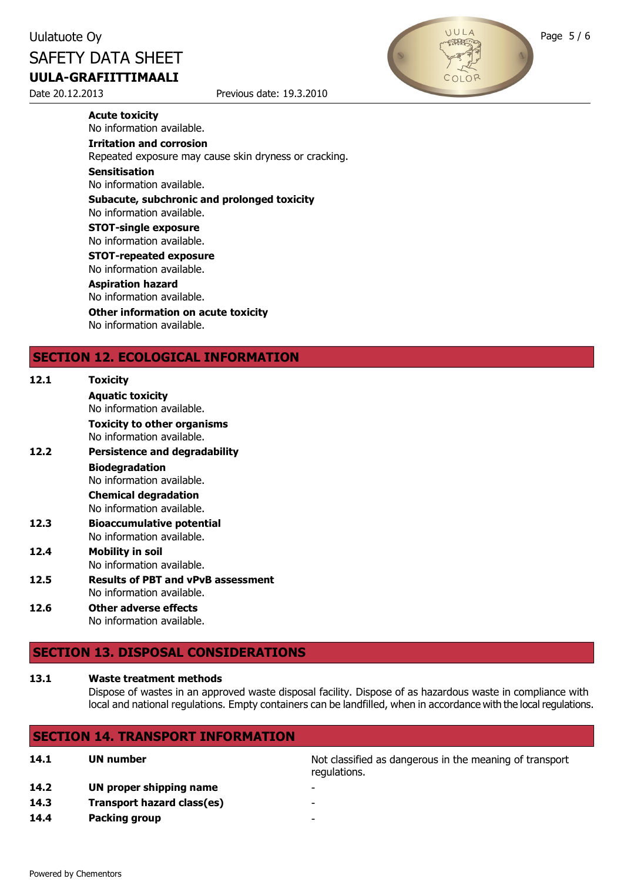Date 20.12.2013 Previous date: 19.3.2010



**Acute toxicity** No information available.

**Irritation and corrosion**

Repeated exposure may cause skin dryness or cracking.

#### **Sensitisation**

No information available.

#### **Subacute, subchronic and prolonged toxicity**

No information available.

#### **STOT-single exposure**

No information available.

**STOT-repeated exposure** No information available.

#### **Aspiration hazard**

No information available.

**Other information on acute toxicity** No information available.

### **SECTION 12. ECOLOGICAL INFORMATION**

| 12.1 | <b>Toxicity</b><br><b>Aquatic toxicity</b>                                                   |
|------|----------------------------------------------------------------------------------------------|
|      | No information available.<br><b>Toxicity to other organisms</b><br>No information available. |
| 12.2 | <b>Persistence and degradability</b>                                                         |
|      | <b>Biodegradation</b><br>No information available.                                           |
|      | <b>Chemical degradation</b><br>No information available.                                     |
| 12.3 | <b>Bioaccumulative potential</b><br>No information available.                                |
| 12.4 | <b>Mobility in soil</b><br>No information available.                                         |
| 12.5 | <b>Results of PBT and vPvB assessment</b><br>No information available.                       |
| 17 C | Atharaduarea affasts                                                                         |

#### **12.6 Other adverse effects** No information available.

### **SECTION 13. DISPOSAL CONSIDERATIONS**

#### **13.1 Waste treatment methods**

Dispose of wastes in an approved waste disposal facility. Dispose of as hazardous waste in compliance with local and national regulations. Empty containers can be landfilled, when in accordance with the local regulations.

### **SECTION 14. TRANSPORT INFORMATION**

- **14.2 UN proper shipping name**
- **14.3 Transport hazard class(es)** -
- **14.4 Packing group** -

**14.1 UN number 14.1 UN number 14.1 UN** number regulations.

- 
-